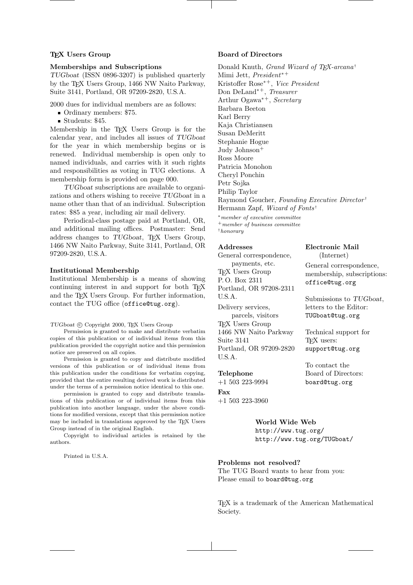## T<sub>F</sub>X Users Group

## Memberships and Subscriptions

TUGboat (ISSN 0896-3207) is published quarterly by the TEX Users Group, 1466 NW Naito Parkway, Suite 3141, Portland, OR 97209-2820, U.S.A.

2000 dues for individual members are as follows:

- Ordinary members: \$75.
- Students: \$45.

Membership in the TEX Users Group is for the calendar year, and includes all issues of TUGboat for the year in which membership begins or is renewed. Individual membership is open only to named individuals, and carries with it such rights and responsibilities as voting in TUG elections. A membership form is provided on page 000.

TUGboat subscriptions are available to organizations and others wishing to receive TUGboat in a name other than that of an individual. Subscription rates: \$85 a year, including air mail delivery.

Periodical-class postage paid at Portland, OR, and additional mailing offices. Postmaster: Send address changes to TUGboat, TEX Users Group, 1466 NW Naito Parkway, Suite 3141, Portland, OR 97209-2820, U.S.A.

## Institutional Membership

Institutional Membership is a means of showing continuing interest in and support for both T<sub>EX</sub> and the TEX Users Group. For further information, contact the TUG office (office@tug.org).

#### TUGboat  $\odot$  Copyright 2000, TEX Users Group

Permission is granted to make and distribute verbatim copies of this publication or of individual items from this publication provided the copyright notice and this permission notice are preserved on all copies.

Permission is granted to copy and distribute modified versions of this publication or of individual items from this publication under the conditions for verbatim copying, provided that the entire resulting derived work is distributed under the terms of a permission notice identical to this one.

permission is granted to copy and distribute translations of this publication or of individual items from this publication into another language, under the above conditions for modified versions, except that this permission notice may be included in translations approved by the TEX Users Group instead of in the original English.

Copyright to individual articles is retained by the authors.

Printed in U.S.A.

## Board of Directors

Donald Knuth, Grand Wizard of TEX-arcana<sup>†</sup> Mimi Jett, President<sup>∗</sup><sup>+</sup> Kristoffer Rose<sup>∗</sup><sup>+</sup>, Vice President Don DeLand<sup>∗</sup><sup>+</sup>, Treasurer Arthur Ogawa<sup>∗</sup><sup>+</sup>, Secretary Barbara Beeton Karl Berry Kaja Christiansen Susan DeMeritt Stephanie Hogue Judy Johnson<sup>+</sup> Ross Moore Patricia Monohon Cheryl Ponchin Petr Sojka Philip Taylor Raymond Goucher, Founding Executive Director † Hermann Zapf, Wizard of Fonts† <sup>∗</sup>member of executive committee <sup>+</sup>member of business committee

> Electronic Mail (Internet) General correspondence, membership, subscriptions:

office@tug.org

Submissions to TUGboat, letters to the Editor: TUGboat@tug.org

Technical support for

TEX users: support@tug.org

To contact the Board of Directors: board@tug.org

†honorary

# Addresses

General correspondence, payments, etc. T<sub>E</sub>X Users Group P. O. Box 2311 Portland, OR 97208-2311 U.S.A. Delivery services, parcels, visitors TEX Users Group 1466 NW Naito Parkway Suite 3141 Portland, OR 97209-2820 U.S.A.

### Telephone

+1 503 223-9994 Fax

+1 503 223-3960

## World Wide Web

http://www.tug.org/ http://www.tug.org/TUGboat/

Problems not resolved? The TUG Board wants to hear from you: Please email to board@tug.org

TEX is a trademark of the American Mathematical Society.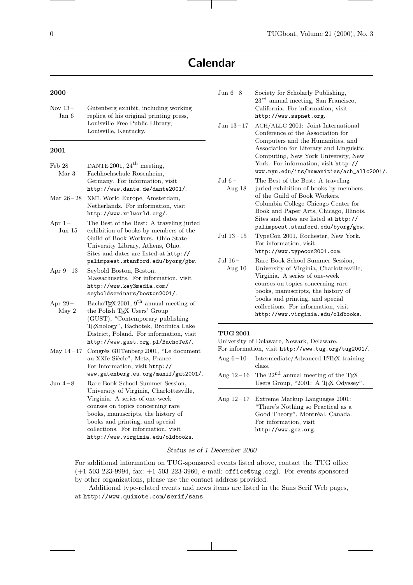# Calendar

# 2000

| Nov $13-$ | Gutenberg exhibit, including working    |
|-----------|-----------------------------------------|
| Jan 6     | replica of his original printing press. |
|           | Louisville Free Public Library.         |
|           | Louisville, Kentucky.                   |
|           |                                         |

# 2001

| $\text{Feb } 28 -$ | DANTE 2001, $24^{\text{th}}$ meeting,            |
|--------------------|--------------------------------------------------|
| Mar 3              | Fachhochschule Rosenheim,                        |
|                    | Germany. For information, visit                  |
|                    | http://www.dante.de/dante2001/.                  |
| Mar $26 - 28$      | XML World Europe, Amsterdam,                     |
|                    | Netherlands. For information, visit              |
|                    | http://www.xmlworld.org/.                        |
| Apr $1-$           | The Best of the Best: A traveling juried         |
| $_{\text{Jun}}$ 15 | exhibition of books by members of the            |
|                    | Guild of Book Workers. Ohio State                |
|                    | University Library, Athens, Ohio.                |
|                    | Sites and dates are listed at http://            |
|                    | palimpsest.stanford.edu/byorg/gbw.               |
| Apr $9-13$         | Seybold Boston, Boston,                          |
|                    | Massachusetts. For information, visit            |
|                    | http://www.key3media.com/                        |
|                    | seyboldseminars/boston2001/.                     |
| Apr $29-$          | BachoTEX 2001, $9^{\text{th}}$ annual meeting of |
| May 2              | the Polish TFX Users' Group                      |
|                    | (GUST), "Contemporary publishing                 |
|                    | TEXnology", Bachotek, Brodnica Lake              |
|                    | District, Poland. For information, visit         |
|                    | http://www.gust.org.pl/BachoTeX/.                |
| May $14-17$        | Congrès GUTenberg 2001, "Le document             |
|                    | au XXIe Siècle", Metz, France.                   |
|                    | For information, visit http://                   |
|                    | www.gutenberg.eu.org/manif/gut2001/.             |
| Jun $4-8$          | Rare Book School Summer Session,                 |
|                    | University of Virginia, Charlottesville,         |
|                    | Virginia. A series of one-week                   |
|                    | courses on topics concerning rare                |
|                    | books, manuscripts, the history of               |
|                    | books and printing, and special                  |
|                    | collections. For information, visit              |
|                    | http://www.virginia.edu/oldbooks.                |

| Jun $6-8$                  | Society for Scholarly Publishing,<br>$23^{\text{rd}}$ annual meeting, San Francisco,<br>California. For information, visit<br>http://www.sspnet.org.                                                                                                                                                     |
|----------------------------|----------------------------------------------------------------------------------------------------------------------------------------------------------------------------------------------------------------------------------------------------------------------------------------------------------|
| Jun 13-17                  | ACH/ALLC 2001: Joint International<br>Conference of the Association for<br>Computers and the Humanities, and<br>Association for Literary and Linguistic<br>Computing, New York University, New<br>York. For information, visit http://<br>www.nyu.edu/its/humanities/ach_allc2001/.                      |
| $\rm{Jul}$ 6 –<br>Aug $18$ | The Best of the Best: A traveling<br>juried exhibition of books by members<br>of the Guild of Book Workers.<br>Columbia College Chicago Center for<br>Book and Paper Arts, Chicago, Illinois.<br>Sites and dates are listed at http://<br>palimpsest.stanford.edu/byorg/gbw.                             |
| Jul $13 - 15$              | TypeCon 2001, Rochester, New York.<br>For information, visit<br>http://www.typecon2001.com.                                                                                                                                                                                                              |
| Jul $16-$<br>Aug $10$      | Rare Book School Summer Session,<br>University of Virginia, Charlottesville,<br>Virginia. A series of one-week<br>courses on topics concerning rare<br>books, manuscripts, the history of<br>books and printing, and special<br>collections. For information, visit<br>http://www.virginia.edu/oldbooks. |

# TUG 2001

| University of Delaware, Newark, Delaware.           |                                                                |  |
|-----------------------------------------------------|----------------------------------------------------------------|--|
| For information, visit http://www.tug.org/tug2001/. |                                                                |  |
|                                                     | Aug $6-10$ Intermediate/Advanced IATFX training                |  |
|                                                     | class.                                                         |  |
|                                                     | Aug 12-16 The $22^{nd}$ annual meeting of the T <sub>F</sub> X |  |
|                                                     | Users Group, "2001: A TFX Odyssey".                            |  |
|                                                     |                                                                |  |
|                                                     | Aug $12-17$ Extreme Markup Languages 2001:                     |  |
|                                                     | "There's Nothing so Practical as a                             |  |
|                                                     | Good Theory", Montréal, Canada.                                |  |
|                                                     | For information, visit                                         |  |
|                                                     | http://www.gca.org.                                            |  |

# Status as of 1 December 2000

For additional information on TUG-sponsored events listed above, contact the TUG office (+1 503 223-9994, fax: +1 503 223-3960, e-mail: office@tug.org). For events sponsored by other organizations, please use the contact address provided.

Additional type-related events and news items are listed in the Sans Serif Web pages, at http://www.quixote.com/serif/sans.

 $\overline{\phantom{a}}$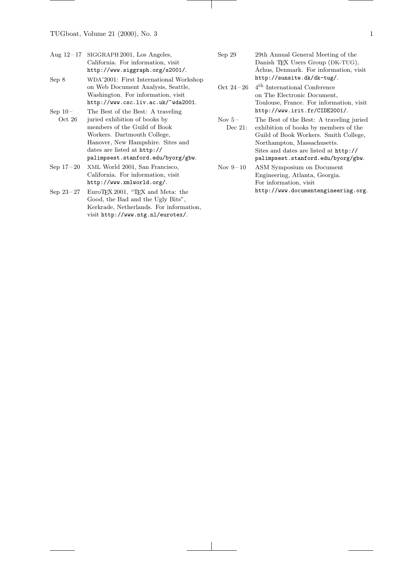|           | Aug $12-17$ SIGGRAPH 2001, Los Angeles, |
|-----------|-----------------------------------------|
|           | California. For information, visit      |
|           | http://www.siggraph.org/s2001/.         |
| Sep 8     | WDA'2001: First International Workshop  |
|           | on Web Document Analysis, Seattle,      |
|           | Washington. For information, visit.     |
|           | http://www.csc.liv.ac.uk/~wda2001.      |
| $Sep 10-$ | The Best of the Best: A traveling       |
| Oct 26    | juried exhibition of books by           |
|           | members of the Guild of Book            |
|           | Workers. Dartmouth College,             |
|           | Hanover, New Hampshire. Sites and       |
|           | dates are listed at http://             |
|           | palimpsest.stanford.edu/byorg/gbw.      |
|           |                                         |

Sep 17 – 20 XML World 2001, San Francisco, California. For information, visit http://www.xmlworld.org/.

Sep 23-27 EuroTEX 2001, "TEX and Meta: the Good, the Bad and the Ugly Bits", Kerkrade, Netherlands. For information, visit http://www.ntg.nl/eurotex/.

- Sep 29 29th Annual General Meeting of the Danish T<sub>E</sub>X Users Group (DK-TUG), Århus, Denmark. For information, visit http://sunsite.dk/dk-tug/.
- Oct $24-26$   $4^{\rm th}$  International Conference on The Electronic Document, Toulouse, France. For information, visit http://www.irit.fr/CIDE2001/.
- Nov  $5-$ Dec 21: The Best of the Best: A traveling juried exhibition of books by members of the Guild of Book Workers. Smith College, Northampton, Massachusetts. Sites and dates are listed at http:// palimpsest.stanford.edu/byorg/gbw.
- Nov 9-10 ASM Symposium on Document Engineering, Atlanta, Georgia. For information, visit http://www.documentengineering.org.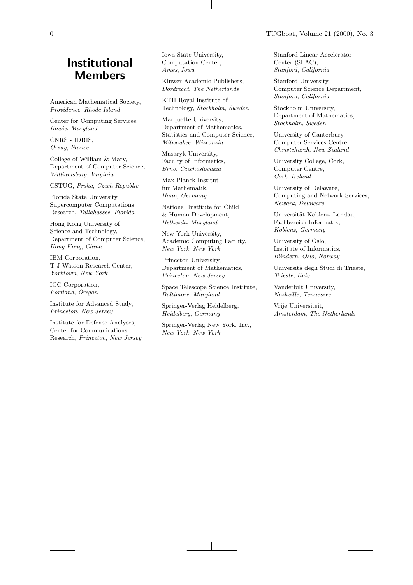# Institutional Members

American Mathematical Society, Providence, Rhode Island

Center for Computing Services, Bowie, Maryland

CNRS - IDRIS, Orsay, France

College of William & Mary, Department of Computer Science, Williamsburg, Virginia

CSTUG, Praha, Czech Republic

Florida State University, Supercomputer Computations Research, Tallahassee, Florida

Hong Kong University of Science and Technology, Department of Computer Science, Hong Kong, China

IBM Corporation, T J Watson Research Center, Yorktown, New York

ICC Corporation, Portland, Oregon

Institute for Advanced Study, Princeton, New Jersey

Institute for Defense Analyses, Center for Communications Research, Princeton, New Jersey Iowa State University, Computation Center, Ames, Iowa

Kluwer Academic Publishers, Dordrecht, The Netherlands

KTH Royal Institute of Technology, Stockholm, Sweden

Marquette University, Department of Mathematics, Statistics and Computer Science, Milwaukee, Wisconsin

Masaryk University, Faculty of Informatics, Brno, Czechoslovakia

Max Planck Institut für Mathematik. Bonn, Germany

National Institute for Child & Human Development, Bethesda, Maryland

New York University, Academic Computing Facility, New York, New York

Princeton University, Department of Mathematics, Princeton, New Jersey

Space Telescope Science Institute, Baltimore, Maryland

Springer-Verlag Heidelberg, Heidelberg, Germany

Springer-Verlag New York, Inc., New York, New York

Stanford Linear Accelerator Center (SLAC), Stanford, California

Stanford University, Computer Science Department, Stanford, California

Stockholm University, Department of Mathematics, Stockholm, Sweden

University of Canterbury, Computer Services Centre, Christchurch, New Zealand

University College, Cork, Computer Centre, Cork, Ireland

University of Delaware, Computing and Network Services, Newark, Delaware

Universität Koblenz-Landau, Fachbereich Informatik, Koblenz, Germany

University of Oslo, Institute of Informatics, Blindern, Oslo, Norway

Università degli Studi di Trieste, Trieste, Italy

Vanderbilt University, Nashville, Tennessee

Vrije Universiteit, Amsterdam, The Netherlands